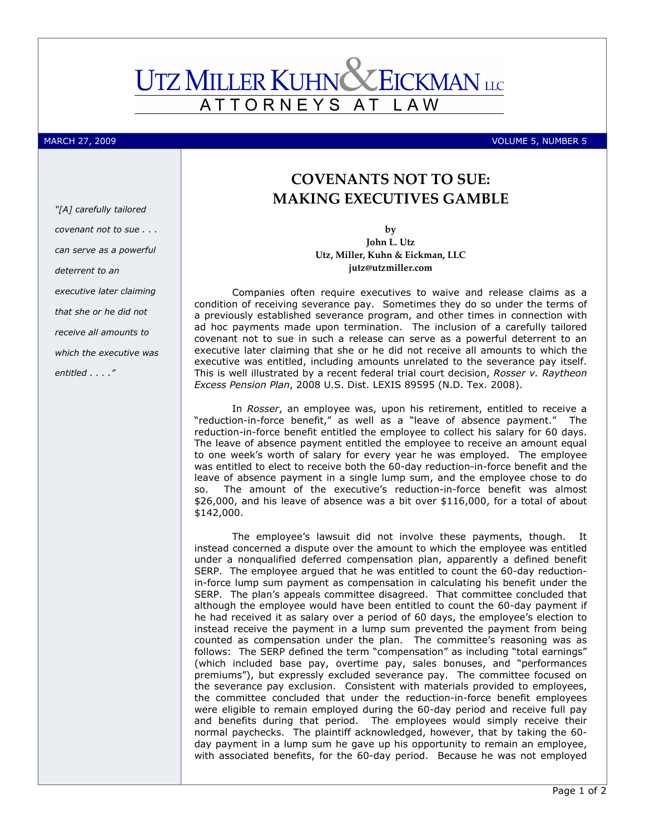# **UTZ MILLER KUHN CEICKMAN** LLC ATTORNEYS AT L A W

MARCH 27, 2009 VOLUME 5, NUMBER 5

# "[A] carefully tailored covenant not to sue . . . can serve as a powerful deterrent to an executive later claiming that she or he did not receive all amounts to which the executive was entitled . . . ."

## COVENANTS NOT TO SUE: MAKING EXECUTIVES GAMBLE

by John L. Utz Utz, Miller, Kuhn & Eickman, LLC jutz@utzmiller.com

Companies often require executives to waive and release claims as a condition of receiving severance pay. Sometimes they do so under the terms of a previously established severance program, and other times in connection with ad hoc payments made upon termination. The inclusion of a carefully tailored covenant not to sue in such a release can serve as a powerful deterrent to an executive later claiming that she or he did not receive all amounts to which the executive was entitled, including amounts unrelated to the severance pay itself. This is well illustrated by a recent federal trial court decision, Rosser v. Raytheon Excess Pension Plan, 2008 U.S. Dist. LEXIS 89595 (N.D. Tex. 2008).

In Rosser, an employee was, upon his retirement, entitled to receive a "reduction-in-force benefit," as well as a "leave of absence payment." The reduction-in-force benefit entitled the employee to collect his salary for 60 days. The leave of absence payment entitled the employee to receive an amount equal to one week's worth of salary for every year he was employed. The employee was entitled to elect to receive both the 60-day reduction-in-force benefit and the leave of absence payment in a single lump sum, and the employee chose to do so. The amount of the executive's reduction-in-force benefit was almost \$26,000, and his leave of absence was a bit over \$116,000, for a total of about \$142,000.

The employee's lawsuit did not involve these payments, though. It instead concerned a dispute over the amount to which the employee was entitled under a nonqualified deferred compensation plan, apparently a defined benefit SERP. The employee argued that he was entitled to count the 60-day reductionin-force lump sum payment as compensation in calculating his benefit under the SERP. The plan's appeals committee disagreed. That committee concluded that although the employee would have been entitled to count the 60-day payment if he had received it as salary over a period of 60 days, the employee's election to instead receive the payment in a lump sum prevented the payment from being counted as compensation under the plan. The committee's reasoning was as follows: The SERP defined the term "compensation" as including "total earnings" (which included base pay, overtime pay, sales bonuses, and "performances premiums"), but expressly excluded severance pay. The committee focused on the severance pay exclusion. Consistent with materials provided to employees, the committee concluded that under the reduction-in-force benefit employees were eligible to remain employed during the 60-day period and receive full pay and benefits during that period. The employees would simply receive their normal paychecks. The plaintiff acknowledged, however, that by taking the 60 day payment in a lump sum he gave up his opportunity to remain an employee, with associated benefits, for the 60-day period. Because he was not employed